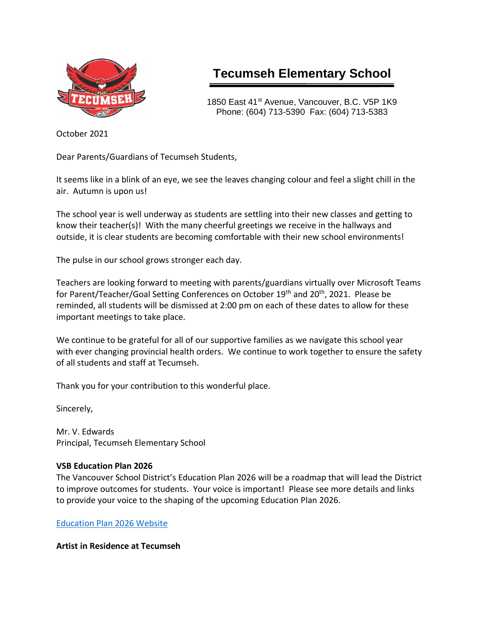

# **Tecumseh Elementary School**

1850 East 41<sup>st</sup> Avenue, Vancouver, B.C. V5P 1K9 Phone: (604) 713-5390 Fax: (604) 713-5383

October 2021

Dear Parents/Guardians of Tecumseh Students,

It seems like in a blink of an eye, we see the leaves changing colour and feel a slight chill in the air. Autumn is upon us!

The school year is well underway as students are settling into their new classes and getting to know their teacher(s)! With the many cheerful greetings we receive in the hallways and outside, it is clear students are becoming comfortable with their new school environments!

The pulse in our school grows stronger each day.

Teachers are looking forward to meeting with parents/guardians virtually over Microsoft Teams for Parent/Teacher/Goal Setting Conferences on October 19<sup>th</sup> and 20<sup>th</sup>, 2021. Please be reminded, all students will be dismissed at 2:00 pm on each of these dates to allow for these important meetings to take place.

We continue to be grateful for all of our supportive families as we navigate this school year with ever changing provincial health orders. We continue to work together to ensure the safety of all students and staff at Tecumseh.

Thank you for your contribution to this wonderful place.

Sincerely,

Mr. V. Edwards Principal, Tecumseh Elementary School

## **VSB Education Plan 2026**

The Vancouver School District's Education Plan 2026 will be a roadmap that will lead the District to improve outcomes for students. Your voice is important! Please see more details and links to provide your voice to the shaping of the upcoming Education Plan 2026.

[Education Plan 2026 Website](https://www.vsb.bc.ca/District/Initiatives_Plans_Reports/EducationPlan2026/Pages/default.aspx)

**Artist in Residence at Tecumseh**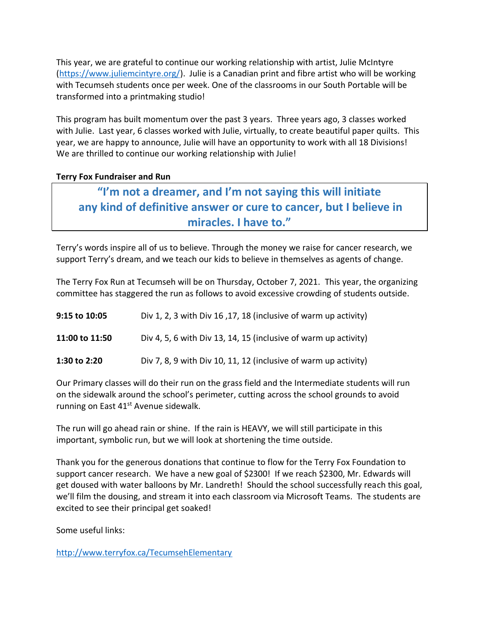This year, we are grateful to continue our working relationship with artist, Julie McIntyre [\(https://www.juliemcintyre.org/\)](https://www.juliemcintyre.org/). Julie is a Canadian print and fibre artist who will be working with Tecumseh students once per week. One of the classrooms in our South Portable will be transformed into a printmaking studio!

This program has built momentum over the past 3 years. Three years ago, 3 classes worked with Julie. Last year, 6 classes worked with Julie, virtually, to create beautiful paper quilts. This year, we are happy to announce, Julie will have an opportunity to work with all 18 Divisions! We are thrilled to continue our working relationship with Julie!

### **Terry Fox Fundraiser and Run**

# **"I'm not a dreamer, and I'm not saying this will initiate any kind of definitive answer or cure to cancer, but I believe in miracles. I have to."**

Terry's words inspire all of us to believe. Through the money we raise for cancer research, we support Terry's dream, and we teach our kids to believe in themselves as agents of change.

The Terry Fox Run at Tecumseh will be on Thursday, October 7, 2021. This year, the organizing committee has staggered the run as follows to avoid excessive crowding of students outside.

| 9:15 to 10:05  | Div 1, 2, 3 with Div 16, 17, 18 (inclusive of warm up activity) |
|----------------|-----------------------------------------------------------------|
| 11:00 to 11:50 | Div 4, 5, 6 with Div 13, 14, 15 (inclusive of warm up activity) |
| 1:30 to 2:20   | Div 7, 8, 9 with Div 10, 11, 12 (inclusive of warm up activity) |

Our Primary classes will do their run on the grass field and the Intermediate students will run on the sidewalk around the school's perimeter, cutting across the school grounds to avoid running on East  $41<sup>st</sup>$  Avenue sidewalk.

The run will go ahead rain or shine. If the rain is HEAVY, we will still participate in this important, symbolic run, but we will look at shortening the time outside.

Thank you for the generous donations that continue to flow for the Terry Fox Foundation to support cancer research. We have a new goal of \$2300! If we reach \$2300, Mr. Edwards will get doused with water balloons by Mr. Landreth! Should the school successfully reach this goal, we'll film the dousing, and stream it into each classroom via Microsoft Teams. The students are excited to see their principal get soaked!

Some useful links:

<http://www.terryfox.ca/TecumsehElementary>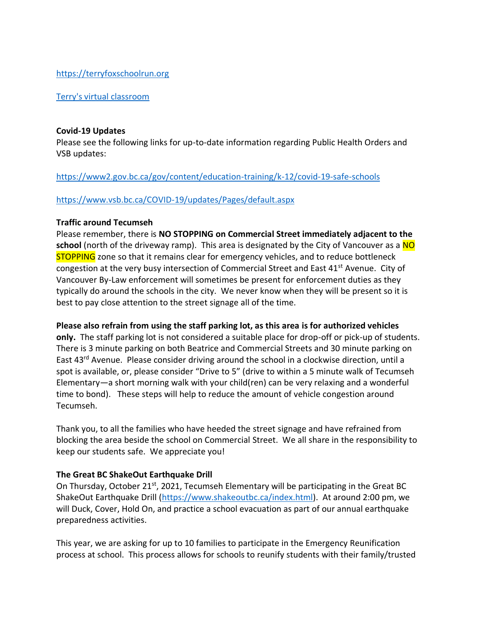#### [https://terryfoxschoolrun.org](https://terryfoxschoolrun.org/)

#### [Terry's virtual classroom](https://docs.google.com/presentation/d/e/2PACX-1vSZs9v2sTBxJ9_maDc3AWgluibIcXtioiCP2edgOGEjhzM_wpVXvFN8sDpCh53oe5nLijDxDWU7i2Ae/pub?start=false&loop=false&delayms=3000&slide=id.g94fb8166c4_0_0)

#### **Covid-19 Updates**

Please see the following links for up-to-date information regarding Public Health Orders and VSB updates:

#### <https://www2.gov.bc.ca/gov/content/education-training/k-12/covid-19-safe-schools>

#### <https://www.vsb.bc.ca/COVID-19/updates/Pages/default.aspx>

#### **Traffic around Tecumseh**

Please remember, there is **NO STOPPING on Commercial Street immediately adjacent to the school** (north of the driveway ramp). This area is designated by the City of Vancouver as a NO **STOPPING** zone so that it remains clear for emergency vehicles, and to reduce bottleneck congestion at the very busy intersection of Commercial Street and East  $41<sup>st</sup>$  Avenue. City of Vancouver By-Law enforcement will sometimes be present for enforcement duties as they typically do around the schools in the city. We never know when they will be present so it is best to pay close attention to the street signage all of the time.

#### **Please also refrain from using the staff parking lot, as this area is for authorized vehicles**

**only.** The staff parking lot is not considered a suitable place for drop-off or pick-up of students. There is 3 minute parking on both Beatrice and Commercial Streets and 30 minute parking on East 43rd Avenue. Please consider driving around the school in a clockwise direction, until a spot is available, or, please consider "Drive to 5" (drive to within a 5 minute walk of Tecumseh Elementary—a short morning walk with your child(ren) can be very relaxing and a wonderful time to bond). These steps will help to reduce the amount of vehicle congestion around Tecumseh.

Thank you, to all the families who have heeded the street signage and have refrained from blocking the area beside the school on Commercial Street. We all share in the responsibility to keep our students safe. We appreciate you!

#### **The Great BC ShakeOut Earthquake Drill**

On Thursday, October 21<sup>st</sup>, 2021, Tecumseh Elementary will be participating in the Great BC ShakeOut Earthquake Drill [\(https://www.shakeoutbc.ca/index.html\)](https://www.shakeoutbc.ca/index.html). At around 2:00 pm, we will Duck, Cover, Hold On, and practice a school evacuation as part of our annual earthquake preparedness activities.

This year, we are asking for up to 10 families to participate in the Emergency Reunification process at school. This process allows for schools to reunify students with their family/trusted